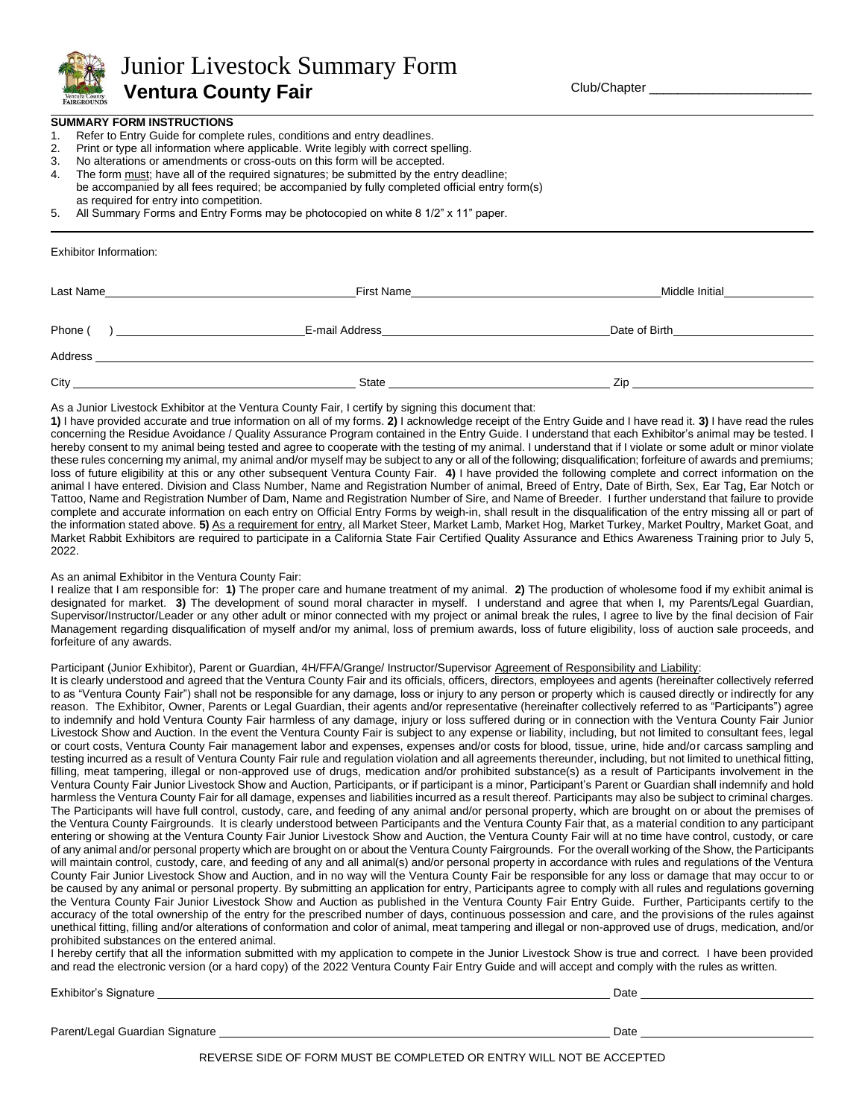

 Junior Livestock Summary Form  **Ventura County Fair**

Club/Chapter \_\_\_\_\_\_\_\_\_\_\_\_\_\_\_\_\_\_\_\_\_\_\_

### **SUMMARY FORM INSTRUCTIONS**

- 1. Refer to Entry Guide for complete rules, conditions and entry deadlines.
- 2. Print or type all information where applicable. Write legibly with correct spelling.
- 3. No alterations or amendments or cross-outs on this form will be accepted.
- 4. The form must; have all of the required signatures; be submitted by the entry deadline; be accompanied by all fees required; be accompanied by fully completed official entry form(s) as required for entry into competition.
- 5. All Summary Forms and Entry Forms may be photocopied on white 8 1/2" x 11" paper.

Exhibitor Information:

| Last Name | First Name     | Middle Initial |  |
|-----------|----------------|----------------|--|
|           |                |                |  |
| Phone (   | E-mail Address | Date of Birth  |  |
| Address   |                |                |  |
| City      | State          | Zip            |  |

As a Junior Livestock Exhibitor at the Ventura County Fair, I certify by signing this document that:

**1)** I have provided accurate and true information on all of my forms. **2)** I acknowledge receipt of the Entry Guide and I have read it. **3)** I have read the rules concerning the Residue Avoidance / Quality Assurance Program contained in the Entry Guide. I understand that each Exhibitor's animal may be tested. I hereby consent to my animal being tested and agree to cooperate with the testing of my animal. I understand that if I violate or some adult or minor violate these rules concerning my animal, my animal and/or myself may be subject to any or all of the following; disqualification; forfeiture of awards and premiums; loss of future eligibility at this or any other subsequent Ventura County Fair. **4)** I have provided the following complete and correct information on the animal I have entered. Division and Class Number, Name and Registration Number of animal, Breed of Entry, Date of Birth, Sex, Ear Tag, Ear Notch or Tattoo, Name and Registration Number of Dam, Name and Registration Number of Sire, and Name of Breeder. I further understand that failure to provide complete and accurate information on each entry on Official Entry Forms by weigh-in, shall result in the disqualification of the entry missing all or part of the information stated above. 5) As a requirement for entry, all Market Steer, Market Lamb, Market Hog, Market Turkey, Market Poultry, Market Goat, and Market Rabbit Exhibitors are required to participate in a California State Fair Certified Quality Assurance and Ethics Awareness Training prior to July 5, 2022.

#### As an animal Exhibitor in the Ventura County Fair:

I realize that I am responsible for: **1)** The proper care and humane treatment of my animal. **2)** The production of wholesome food if my exhibit animal is designated for market. **3)** The development of sound moral character in myself. I understand and agree that when I, my Parents/Legal Guardian, Supervisor/Instructor/Leader or any other adult or minor connected with my project or animal break the rules, I agree to live by the final decision of Fair Management regarding disqualification of myself and/or my animal, loss of premium awards, loss of future eligibility, loss of auction sale proceeds, and forfeiture of any awards.

## Participant (Junior Exhibitor), Parent or Guardian, 4H/FFA/Grange/ Instructor/Supervisor Agreement of Responsibility and Liability:

It is clearly understood and agreed that the Ventura County Fair and its officials, officers, directors, employees and agents (hereinafter collectively referred to as "Ventura County Fair") shall not be responsible for any damage, loss or injury to any person or property which is caused directly or indirectly for any reason. The Exhibitor, Owner, Parents or Legal Guardian, their agents and/or representative (hereinafter collectively referred to as "Participants") agree to indemnify and hold Ventura County Fair harmless of any damage, injury or loss suffered during or in connection with the Ventura County Fair Junior Livestock Show and Auction. In the event the Ventura County Fair is subject to any expense or liability, including, but not limited to consultant fees, legal or court costs, Ventura County Fair management labor and expenses, expenses and/or costs for blood, tissue, urine, hide and/or carcass sampling and testing incurred as a result of Ventura County Fair rule and regulation violation and all agreements thereunder, including, but not limited to unethical fitting, filling, meat tampering, illegal or non-approved use of drugs, medication and/or prohibited substance(s) as a result of Participants involvement in the Ventura County Fair Junior Livestock Show and Auction, Participants, or if participant is a minor, Participant's Parent or Guardian shall indemnify and hold harmless the Ventura County Fair for all damage, expenses and liabilities incurred as a result thereof. Participants may also be subject to criminal charges. The Participants will have full control, custody, care, and feeding of any animal and/or personal property, which are brought on or about the premises of the Ventura County Fairgrounds. It is clearly understood between Participants and the Ventura County Fair that, as a material condition to any participant entering or showing at the Ventura County Fair Junior Livestock Show and Auction, the Ventura County Fair will at no time have control, custody, or care of any animal and/or personal property which are brought on or about the Ventura County Fairgrounds. For the overall working of the Show, the Participants will maintain control, custody, care, and feeding of any and all animal(s) and/or personal property in accordance with rules and regulations of the Ventura County Fair Junior Livestock Show and Auction, and in no way will the Ventura County Fair be responsible for any loss or damage that may occur to or be caused by any animal or personal property. By submitting an application for entry, Participants agree to comply with all rules and regulations governing the Ventura County Fair Junior Livestock Show and Auction as published in the Ventura County Fair Entry Guide. Further, Participants certify to the accuracy of the total ownership of the entry for the prescribed number of days, continuous possession and care, and the provisions of the rules against unethical fitting, filling and/or alterations of conformation and color of animal, meat tampering and illegal or non-approved use of drugs, medication, and/or prohibited substances on the entered animal.

I hereby certify that all the information submitted with my application to compete in the Junior Livestock Show is true and correct. I have been provided and read the electronic version (or a hard copy) of the 2022 Ventura County Fair Entry Guide and will accept and comply with the rules as written.

Exhibitor's Signature Date

Parent/Legal Guardian Signature Date

REVERSE SIDE OF FORM MUST BE COMPLETED OR ENTRY WILL NOT BE ACCEPTED